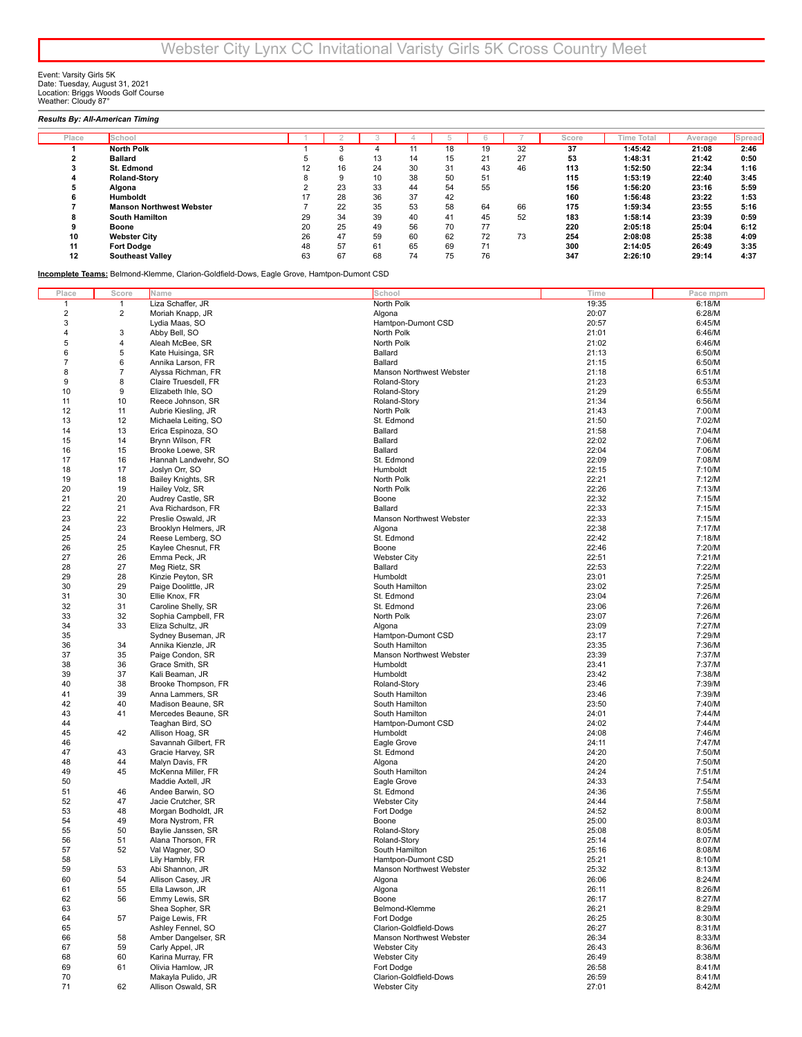Event: Varsity Girls 5K<br>Date: Tuesday, August 31, 2021<br>Location: Briggs Woods Golf Course<br>Weather: Cloudy 87°

## *Results By: All-American Timing*

| Place | School                          |    |    |    |    |    |    |    | Score | Time Total | Average | Spread |
|-------|---------------------------------|----|----|----|----|----|----|----|-------|------------|---------|--------|
|       | <b>North Polk</b>               |    |    | 4  | 11 | 18 | 19 | 32 | 37    | 1:45:42    | 21:08   | 2:46   |
|       | <b>Ballard</b>                  |    |    | 13 | 14 | 15 | 21 | 27 | 53    | 1:48:31    | 21:42   | 0:50   |
|       | St. Edmond                      | 12 | 16 | 24 | 30 | 31 | 43 | 46 | 113   | 1:52:50    | 22:34   | 1:16   |
|       | <b>Roland-Story</b>             |    |    | 10 | 38 | 50 | 51 |    | 115   | 1:53:19    | 22:40   | 3:45   |
|       | Algona                          |    | 23 | 33 | 44 | 54 | 55 |    | 156   | 1:56:20    | 23:16   | 5:59   |
|       | <b>Humboldt</b>                 |    | 28 | 36 | 37 | 42 |    |    | 160   | 1:56:48    | 23:22   | 1:53   |
|       | <b>Manson Northwest Webster</b> |    | 22 | 35 | 53 | 58 | 64 | 66 | 175   | 1:59:34    | 23:55   | 5:16   |
|       | South Hamilton                  | 29 | 34 | 39 | 40 | 41 | 45 | 52 | 183   | 1:58:14    | 23:39   | 0:59   |
|       | Boone                           | 20 | 25 | 49 | 56 | 70 | 77 |    | 220   | 2:05:18    | 25:04   | 6:12   |
| 10    | <b>Webster City</b>             | 26 | 47 | 59 | 60 | 62 | 72 | 73 | 254   | 2:08:08    | 25:38   | 4:09   |
| 11    | <b>Fort Dodge</b>               | 48 | 57 | 61 | 65 | 69 | 71 |    | 300   | 2:14:05    | 26:49   | 3:35   |
| 12    | <b>Southeast Valley</b>         | 63 | 67 | 68 | 74 | 75 | 76 |    | 347   | 2:26:10    | 29:14   | 4:37   |
|       |                                 |    |    |    |    |    |    |    |       |            |         |        |

**Incomplete Teams:** Belmond-Klemme, Clarion-Goldfield-Dows, Eagle Grove, Hamtpon-Dumont CSD

| Place          | Score                   | Name                 | School                          | Time  | Pace mpm |
|----------------|-------------------------|----------------------|---------------------------------|-------|----------|
| $\mathbf{1}$   | $\mathbf{1}$            | Liza Schaffer, JR    | North Polk                      | 19:35 | 6:18/M   |
| $\overline{c}$ | $\overline{\mathbf{c}}$ | Moriah Knapp, JR     | Algona                          | 20:07 | 6:28/M   |
| 3              |                         | Lydia Maas, SO       | Hamtpon-Dumont CSD              | 20:57 | 6:45/M   |
| 4              | 3                       | Abby Bell, SO        | North Polk                      | 21:01 | 6:46/M   |
|                |                         |                      |                                 |       |          |
| 5              | 4                       | Aleah McBee, SR      | North Polk                      | 21:02 | 6:46/M   |
| 6              | 5                       | Kate Huisinga, SR    | Ballard                         | 21:13 | 6:50/M   |
| $\overline{7}$ | 6                       | Annika Larson, FR    | Ballard                         | 21:15 | 6:50/M   |
| 8              | 7                       | Alyssa Richman, FR   | <b>Manson Northwest Webster</b> | 21:18 | 6:51/M   |
| 9              | 8                       | Claire Truesdell, FR | Roland-Story                    | 21:23 | 6:53/M   |
| 10             | 9                       | Elizabeth Ihle, SO   | Roland-Story                    | 21:29 | 6:55/M   |
| 11             | 10                      | Reece Johnson, SR    | Roland-Story                    | 21:34 | 6:56/M   |
| 12             | 11                      | Aubrie Kiesling, JR  | North Polk                      | 21:43 | 7:00/M   |
| 13             | 12                      | Michaela Leiting, SO | St. Edmond                      | 21:50 | 7:02/M   |
| 14             | 13                      | Erica Espinoza, SO   | Ballard                         | 21:58 | 7:04/M   |
|                |                         |                      |                                 |       |          |
| 15             | 14                      | Brynn Wilson, FR     | Ballard                         | 22:02 | 7:06/M   |
| 16             | 15                      | Brooke Loewe, SR     | Ballard                         | 22:04 | 7:06/M   |
| 17             | 16                      | Hannah Landwehr, SO  | St. Edmond                      | 22:09 | 7:08/M   |
| 18             | 17                      | Joslyn Orr, SO       | Humboldt                        | 22:15 | 7:10/M   |
| 19             | 18                      | Bailey Knights, SR   | North Polk                      | 22:21 | 7:12/M   |
| 20             | 19                      | Hailey Volz, SR      | North Polk                      | 22:26 | 7:13/M   |
| 21             | 20                      | Audrey Castle, SR    | Boone                           | 22:32 | 7:15/M   |
| 22             | 21                      | Ava Richardson, FR   | Ballard                         | 22:33 | 7:15/M   |
| 23             | 22                      | Preslie Oswald, JR   | Manson Northwest Webster        | 22:33 | 7:15/M   |
| 24             | 23                      | Brooklyn Helmers, JR | Algona                          | 22:38 | 7:17/M   |
| 25             | 24                      | Reese Lemberg, SO    | St. Edmond                      | 22:42 | 7:18/M   |
| 26             | 25                      | Kaylee Chesnut, FR   | Boone                           | 22:46 |          |
|                |                         |                      |                                 |       | 7:20/M   |
| 27             | 26                      | Emma Peck, JR        | <b>Webster City</b>             | 22:51 | 7:21/M   |
| 28             | 27                      | Meg Rietz, SR        | Ballard                         | 22:53 | 7:22/M   |
| 29             | 28                      | Kinzie Peyton, SR    | Humboldt                        | 23:01 | 7:25/M   |
| 30             | 29                      | Paige Doolittle, JR  | South Hamilton                  | 23:02 | 7:25/M   |
| 31             | 30                      | Ellie Knox, FR       | St. Edmond                      | 23:04 | 7:26/M   |
| 32             | 31                      | Caroline Shelly, SR  | St. Edmond                      | 23:06 | 7:26/M   |
| 33             | 32                      | Sophia Campbell, FR  | North Polk                      | 23:07 | 7:26/M   |
| 34             | 33                      | Eliza Schultz, JR    | Algona                          | 23:09 | 7:27/M   |
| 35             |                         | Sydney Buseman, JR   | Hamtpon-Dumont CSD              | 23:17 | 7:29/M   |
| 36             | 34                      | Annika Kienzle, JR   | South Hamilton                  | 23:35 | 7:36/M   |
| 37             | 35                      | Paige Condon, SR     | Manson Northwest Webster        | 23:39 | 7:37/M   |
| 38             | 36                      | Grace Smith, SR      | Humboldt                        | 23:41 | 7:37/M   |
| 39             | 37                      | Kali Beaman, JR      | Humboldt                        | 23:42 | 7:38/M   |
| 40             | 38                      | Brooke Thompson, FR  | Roland-Story                    | 23:46 | 7:39/M   |
|                |                         |                      |                                 |       |          |
| 41             | 39                      | Anna Lammers, SR     | South Hamilton                  | 23:46 | 7:39/M   |
| 42             | 40                      | Madison Beaune, SR   | South Hamilton                  | 23:50 | 7:40/M   |
| 43             | 41                      | Mercedes Beaune, SR  | South Hamilton                  | 24:01 | 7:44/M   |
| 44             |                         | Teaghan Bird, SO     | Hamtpon-Dumont CSD              | 24:02 | 7:44/M   |
| 45             | 42                      | Allison Hoag, SR     | Humboldt                        | 24:08 | 7:46/M   |
| 46             |                         | Savannah Gilbert, FR | Eagle Grove                     | 24:11 | 7:47/M   |
| 47             | 43                      | Gracie Harvey, SR    | St. Edmond                      | 24:20 | 7:50/M   |
| 48             | 44                      | Malyn Davis, FR      | Algona                          | 24:20 | 7:50/M   |
| 49             | 45                      | McKenna Miller, FR   | South Hamilton                  | 24:24 | 7:51/M   |
| 50             |                         | Maddie Axtell, JR    | Eagle Grove                     | 24:33 | 7:54/M   |
| 51             | 46                      | Andee Barwin, SO     | St. Edmond                      | 24:36 | 7:55/M   |
| 52             | 47                      | Jacie Crutcher, SR   | <b>Webster City</b>             | 24:44 | 7:58/M   |
| 53             | 48                      | Morgan Bodholdt, JR  | Fort Dodge                      | 24:52 | 8:00/M   |
| 54             | 49                      | Mora Nystrom, FR     | Boone                           | 25:00 | 8:03/M   |
| 55             |                         | Baylie Janssen, SR   |                                 | 25:08 |          |
|                | 50                      |                      | Roland-Story                    |       | 8:05/M   |
| 56             | 51                      | Alana Thorson, FR    | Roland-Story                    | 25:14 | 8:07/M   |
| 57             | 52                      | Val Wagner, SO       | South Hamilton                  | 25:16 | 8:08/M   |
| 58             |                         | Lily Hambly, FR      | Hamtpon-Dumont CSD              | 25:21 | 8:10/M   |
| 59             | 53                      | Abi Shannon, JR      | Manson Northwest Webster        | 25:32 | 8:13/M   |
| 60             | 54                      | Allison Casey, JR    | Algona                          | 26:06 | 8:24/M   |
| 61             | 55                      | Ella Lawson, JR      | Algona                          | 26:11 | 8:26/M   |
| 62             | 56                      | Emmy Lewis, SR       | Boone                           | 26:17 | 8:27/M   |
| 63             |                         | Shea Sopher, SR      | Belmond-Klemme                  | 26:21 | 8:29/M   |
| 64             | 57                      | Paige Lewis, FR      | Fort Dodge                      | 26:25 | 8:30/M   |
| 65             |                         | Ashley Fennel, SO    | Clarion-Goldfield-Dows          | 26:27 | 8:31/M   |
| 66             | 58                      | Amber Dangelser, SR  | Manson Northwest Webster        | 26:34 | 8:33/M   |
| 67             | 59                      | Carly Appel, JR      | <b>Webster City</b>             | 26:43 | 8:36/M   |
| 68             | 60                      | Karina Murray, FR    | <b>Webster City</b>             | 26:49 | 8:38/M   |
| 69             | 61                      | Olivia Hamlow, JR    | Fort Dodge                      | 26:58 | 8:41/M   |
| 70             |                         | Makayla Pulido, JR   | Clarion-Goldfield-Dows          | 26:59 | 8:41/M   |
| 71             | 62                      | Allison Oswald, SR   | <b>Webster City</b>             | 27:01 | 8:42/M   |
|                |                         |                      |                                 |       |          |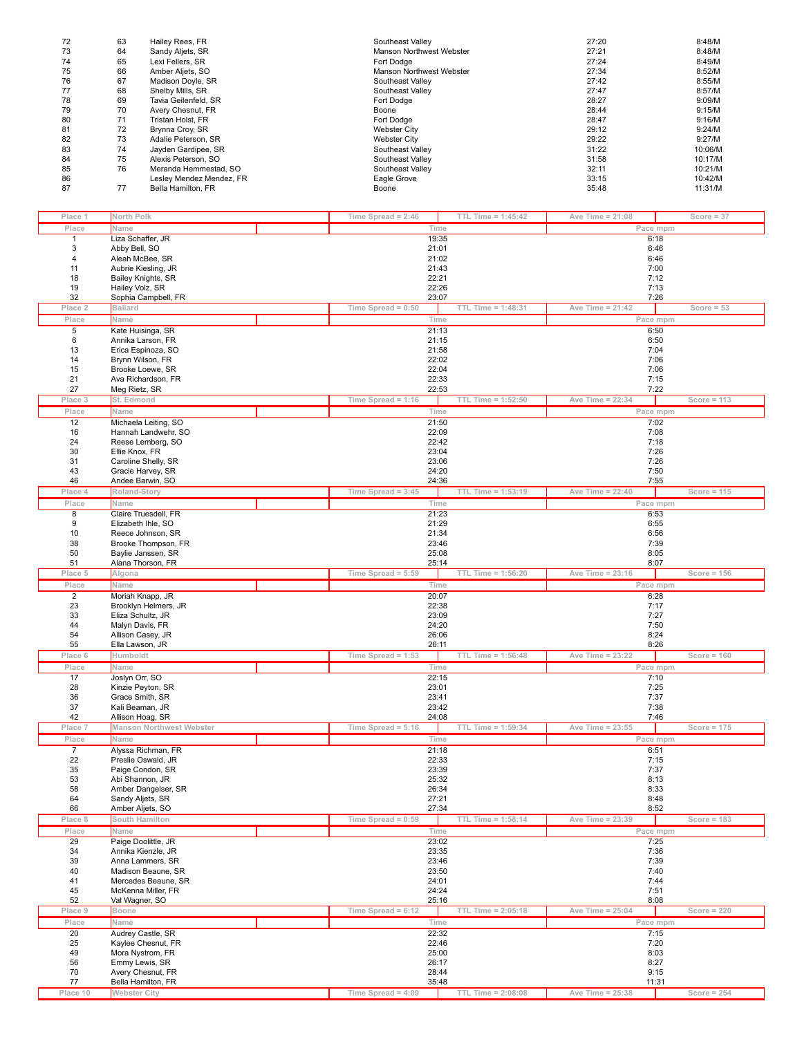| 72 | 63 | Hailey Rees, FR          | Southeast Valley                | 27:20 | 8:48/M  |
|----|----|--------------------------|---------------------------------|-------|---------|
| 73 | 64 | Sandy Aljets, SR         | <b>Manson Northwest Webster</b> | 27:21 | 8:48/M  |
| 74 | 65 | Lexi Fellers, SR         | Fort Dodge                      | 27:24 | 8:49/M  |
| 75 | 66 | Amber Aljets, SO         | <b>Manson Northwest Webster</b> | 27:34 | 8:52/M  |
| 76 | 67 | Madison Doyle, SR        | Southeast Valley                | 27:42 | 8:55/M  |
| 77 | 68 | Shelby Mills, SR         | Southeast Valley                | 27:47 | 8:57/M  |
| 78 | 69 | Tavia Geilenfeld, SR     | Fort Dodge                      | 28:27 | 9:09/M  |
| 79 | 70 | Avery Chesnut, FR        | Boone                           | 28:44 | 9:15/M  |
| 80 | 71 | Tristan Holst, FR        | Fort Dodge                      | 28:47 | 9:16/M  |
| 81 | 72 | Brynna Croy, SR          | <b>Webster City</b>             | 29:12 | 9:24/M  |
| 82 | 73 | Adalie Peterson, SR      | <b>Webster City</b>             | 29:22 | 9:27/M  |
| 83 | 74 | Jayden Gardipee, SR      | Southeast Valley                | 31:22 | 10:06/M |
| 84 | 75 | Alexis Peterson, SO      | Southeast Valley                | 31:58 | 10:17/M |
| 85 | 76 | Meranda Hemmestad, SO    | Southeast Valley                | 32:11 | 10:21/M |
| 86 |    | Lesley Mendez Mendez, FR | Eagle Grove                     | 33:15 | 10:42/M |
| 87 | 77 | Bella Hamilton, FR       | Boone                           | 35:48 | 11:31/M |

| Place 1        | North Polk                           | Time Spread = $2:46$ | TTL Time = 1:45:42   | Ave Time = $21:08$ | Score = $37$  |
|----------------|--------------------------------------|----------------------|----------------------|--------------------|---------------|
|                |                                      |                      |                      |                    |               |
| Place          | Name                                 | Time                 |                      | Pace mpm           |               |
| $\mathbf{1}$   | Liza Schaffer, JR                    | 19:35                |                      | 6:18               |               |
| 3              | Abby Bell, SO                        | 21:01                |                      | 6:46               |               |
| 4              | Aleah McBee, SR                      | 21:02                |                      | 6:46               |               |
| 11             | Aubrie Kiesling, JR                  | 21:43                |                      | 7:00               |               |
| 18             | Bailey Knights, SR                   | 22:21                |                      | 7:12               |               |
| 19             |                                      |                      |                      |                    |               |
|                | Hailey Volz, SR                      | 22:26                |                      | 7:13               |               |
| 32             | Sophia Campbell, FR                  | 23:07                |                      | 7:26               |               |
| Place 2        | <b>Ballard</b>                       | Time Spread = $0:50$ | TTL Time = 1:48:31   | Ave Time = $21:42$ | Score = $53$  |
| Place          | Name                                 | Time                 |                      | Pace mpm           |               |
| 5              | Kate Huisinga, SR                    | 21:13                |                      | 6:50               |               |
| 6              | Annika Larson, FR                    | 21:15                |                      | 6:50               |               |
|                |                                      |                      |                      |                    |               |
| 13             | Erica Espinoza, SO                   | 21:58                |                      | 7:04               |               |
| 14             | Brynn Wilson, FR                     | 22:02                |                      | 7:06               |               |
| 15             | Brooke Loewe, SR                     | 22:04                |                      | 7:06               |               |
| 21             | Ava Richardson, FR                   | 22:33                |                      | 7:15               |               |
| 27             | Meg Rietz, SR                        | 22:53                |                      | 7:22               |               |
| Place 3        | St. Edmond                           | Time Spread = $1:16$ | TTL Time = $1:52:50$ | Ave Time = 22:34   | Score = $113$ |
|                |                                      |                      |                      |                    |               |
| Place          | Name                                 | Time                 |                      | Pace mpm           |               |
| 12             | Michaela Leiting, SO                 | 21:50                |                      | 7:02               |               |
| 16             | Hannah Landwehr, SO                  | 22:09                |                      | 7:08               |               |
| 24             | Reese Lemberg, SO                    | 22:42                |                      | 7:18               |               |
| 30             | Ellie Knox, FR                       | 23:04                |                      | 7:26               |               |
| 31             | Caroline Shelly, SR                  | 23:06                |                      | 7:26               |               |
| 43             | Gracie Harvey, SR                    | 24:20                |                      | 7:50               |               |
| 46             |                                      |                      |                      | 7:55               |               |
|                | Andee Barwin, SO                     | 24:36                |                      |                    |               |
| Place 4        | Roland-Story                         | Time Spread = $3:45$ | TTL Time = 1:53:19   | Ave Time = $22:40$ | Score = $115$ |
| Place          | Name                                 | Time                 |                      | Pace mpm           |               |
| 8              | Claire Truesdell, FR                 | 21:23                |                      | 6:53               |               |
| 9              | Elizabeth Ihle, SO                   | 21:29                |                      | 6:55               |               |
| 10             | Reece Johnson, SR                    | 21:34                |                      | 6:56               |               |
|                |                                      |                      |                      |                    |               |
| 38             | Brooke Thompson, FR                  | 23:46                |                      | 7:39               |               |
| 50             | Baylie Janssen, SR                   | 25:08                |                      | 8:05               |               |
| 51             | Alana Thorson, FR                    | 25:14                |                      | 8:07               |               |
| Place 5        | Algona                               | Time Spread = $5:59$ | TTL Time = $1:56:20$ | Ave Time = 23:16   | Score = $156$ |
| Place          | Name                                 | Time                 |                      | Pace mpm           |               |
|                |                                      |                      |                      |                    |               |
| $\overline{2}$ | Moriah Knapp, JR                     | 20:07                |                      | 6:28               |               |
| 23             | Brooklyn Helmers, JR                 | 22:38                |                      | 7:17               |               |
| 33             | Eliza Schultz, JR                    | 23:09                |                      | 7:27               |               |
| 44             | Malyn Davis, FR                      | 24:20                |                      | 7:50               |               |
| 54             | Allison Casey, JR                    | 26:06                |                      | 8:24               |               |
| 55             | Ella Lawson, JR                      | 26:11                |                      | 8:26               |               |
| Place 6        | Humboldt                             | Time Spread = $1:53$ | TTL Time = 1:56:48   | Ave Time = 23:22   | $Score = 160$ |
|                |                                      |                      |                      |                    |               |
| Place          | Name                                 | Time                 |                      | Pace mpm           |               |
| 17             | Joslyn Orr, SO                       | 22:15                |                      | 7:10               |               |
| 28             | Kinzie Peyton, SR                    | 23:01                |                      | 7:25               |               |
| 36             | Grace Smith, SR                      | 23:41                |                      | 7:37               |               |
| 37             | Kali Beaman, JR                      | 23:42                |                      | 7:38               |               |
| 42             | Allison Hoag, SR                     | 24:08                |                      | 7:46               |               |
| Place 7        | <b>Manson Northwest Webster</b>      |                      | TTL Time = $1:59:34$ | Ave Time = $23:55$ | Score = $175$ |
|                |                                      | Time Spread = $5:16$ |                      |                    |               |
| Place          | Name                                 | Time                 |                      | Pace mpm           |               |
| $\overline{7}$ | Alyssa Richman, FR                   | 21:18                |                      | 6:51               |               |
| 22             | Preslie Oswald, JR                   | 22:33                |                      | 7:15               |               |
| 35             | Paige Condon, SR                     | 23:39                |                      | 7:37               |               |
| 53             | Abi Shannon, JR                      | 25:32                |                      | 8:13               |               |
| 58             | Amber Dangelser, SR                  | 26:34                |                      | 8:33               |               |
|                |                                      |                      |                      |                    |               |
| 64<br>66       | Sandy Aljets, SR<br>Amber Aljets, SO | 27:21                |                      | 8:48<br>8:52       |               |
|                |                                      | 27:34                |                      |                    |               |
| Place 8        | South Hamilton                       | Time Spread = $0:59$ | TTL Time = 1:58:14   | Ave Time = 23:39   | Score = $183$ |
| Place          | Name                                 | Time                 |                      | Pace mpm           |               |
| 29             | Paige Doolittle, JR                  | 23:02                |                      | 7:25               |               |
| 34             | Annika Kienzle, JR                   | 23:35                |                      | 7:36               |               |
| 39             | Anna Lammers, SR                     | 23:46                |                      | 7:39               |               |
|                | Madison Beaune, SR                   |                      |                      |                    |               |
| 40             |                                      | 23:50                |                      | 7:40               |               |
| 41             | Mercedes Beaune, SR                  | 24:01                |                      | 7:44               |               |
| 45             | McKenna Miller, FR                   | 24:24                |                      | 7:51               |               |
| 52             | Val Wagner, SO                       | 25:16                |                      | 8:08               |               |
| Place 9        | Boone                                | Time Spread = $6:12$ | TTL Time = $2:05:18$ | Ave Time = $25:04$ | Score = $220$ |
| Place          | Name                                 | Time                 |                      | Pace mpm           |               |
|                |                                      |                      |                      |                    |               |
| 20             | Audrey Castle, SR                    | 22:32                |                      | 7:15               |               |
| 25             | Kaylee Chesnut, FR                   | 22:46                |                      | 7:20               |               |
| 49             | Mora Nystrom, FR                     | 25:00                |                      | 8:03               |               |
| 56             | Emmy Lewis, SR                       | 26:17                |                      | 8:27               |               |
| 70             | Avery Chesnut, FR                    | 28:44                |                      | 9:15               |               |
| 77             | Bella Hamilton, FR                   | 35:48                |                      | 11:31              |               |
| Place 10       | <b>Webster City</b>                  | Time Spread = $4:09$ | TTL Time = $2:08:08$ | Ave Time = $25:38$ | Score = $254$ |
|                |                                      |                      |                      |                    |               |